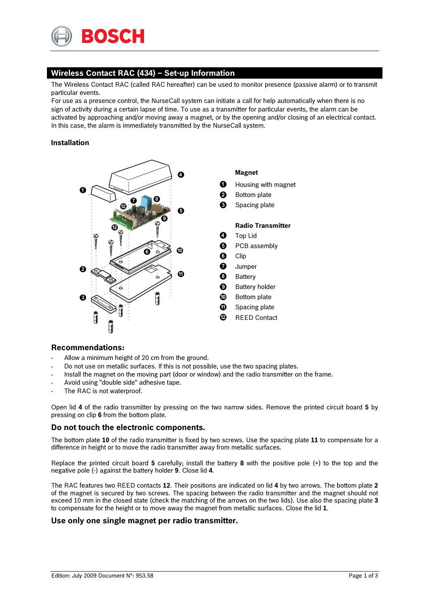

# **Wireless Contact RAC (434) – Set-up Information**

The Wireless Contact RAC (called RAC hereafter) can be used to monitor presence (passive alarm) or to transmit particular events.

For use as a presence control, the NurseCall system can initiate a call for help automatically when there is no sign of activity during a certain lapse of time. To use as a transmitter for particular events, the alarm can be activated by approaching and/or moving away a magnet, or by the opening and/or closing of an electrical contact. In this case, the alarm is immediately transmitted by the NurseCall system.

### **Installation**



## **Recommendations:**

- Allow a minimum height of 20 cm from the ground.
- Do not use on metallic surfaces. If this is not possible, use the two spacing plates.
- Install the magnet on the moving part (door or window) and the radio transmitter on the frame.
- Avoid using "double side" adhesive tape.
- The RAC is not waterproof.

Open lid **4** of the radio transmitter by pressing on the two narrow sides. Remove the printed circuit board **5** by pressing on clip **6** from the bottom plate.

## **Do not touch the electronic components.**

The bottom plate **10** of the radio transmitter is fixed by two screws. Use the spacing plate **11** to compensate for a difference in height or to move the radio transmitter away from metallic surfaces.

Replace the printed circuit board **5** carefully; install the battery **8** with the positive pole (+) to the top and the negative pole (-) against the battery holder **9**. Close lid **4**.

The RAC features two REED contacts **12**. Their positions are indicated on lid **4** by two arrows. The bottom plate **2** of the magnet is secured by two screws. The spacing between the radio transmitter and the magnet should not exceed 10 mm in the closed state (check the matching of the arrows on the two lids). Use also the spacing plate **3** to compensate for the height or to move away the magnet from metallic surfaces. Close the lid **1**.

## **Use only one single magnet per radio transmitter.**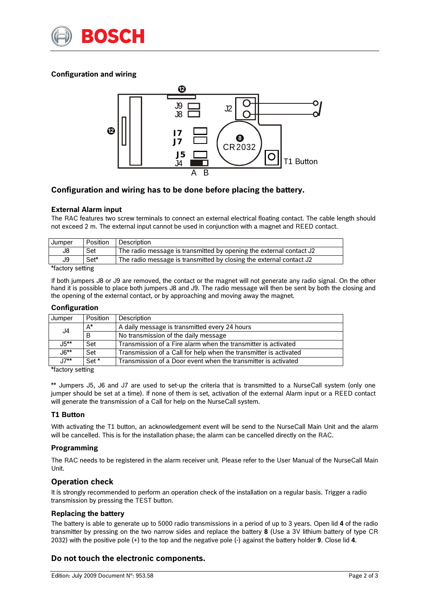

# **Configuration and wiring**



## **Configuration and wiring has to be done before placing the battery.**

### **External Alarm input**

The RAC features two screw terminals to connect an external electrical floating contact. The cable length should not exceed 2 m. The external input cannot be used in conjunction with a magnet and REED contact.

| Jumper | Position | Description                                                         |
|--------|----------|---------------------------------------------------------------------|
| J8     | Set      | The radio message is transmitted by opening the external contact J2 |
| J9     | Set*     | The radio message is transmitted by closing the external contact J2 |
| $-$    |          |                                                                     |

\*factory setting

If both jumpers J8 or J9 are removed, the contact or the magnet will not generate any radio signal. On the other hand it is possible to place both jumpers J8 and J9. The radio message will then be sent by both the closing and the opening of the external contact, or by approaching and moving away the magnet.

### **Configuration**

| Jumper | Position         | Description                                                       |  |
|--------|------------------|-------------------------------------------------------------------|--|
| J4     | A*               | A daily message is transmitted every 24 hours                     |  |
|        | B                | No transmission of the daily message                              |  |
| .J5**  | Set              | Transmission of a Fire alarm when the transmitter is activated    |  |
| .Jճ**  | Set              | Transmission of a Call for help when the transmitter is activated |  |
| .17**  | Set <sup>*</sup> | Transmission of a Door event when the transmitter is activated    |  |

\*factory setting

\*\* Jumpers J5, J6 and J7 are used to set-up the criteria that is transmitted to a NurseCall system (only one jumper should be set at a time). If none of them is set, activation of the external Alarm input or a REED contact will generate the transmission of a Call for help on the NurseCall system.

### **T1 Button**

With activating the T1 button, an acknowledgement event will be send to the NurseCall Main Unit and the alarm will be cancelled. This is for the installation phase; the alarm can be cancelled directly on the RAC.

### **Programming**

The RAC needs to be registered in the alarm receiver unit. Please refer to the User Manual of the NurseCall Main Unit.

### **Operation check**

It is strongly recommended to perform an operation check of the installation on a regular basis. Trigger a radio transmission by pressing the TEST button.

### **Replacing the battery**

The battery is able to generate up to 5000 radio transmissions in a period of up to 3 years. Open lid **4** of the radio transmitter by pressing on the two narrow sides and replace the battery **8** (Use a 3V lithium battery of type CR 2032) with the positive pole (+) to the top and the negative pole (-) against the battery holder **9**. Close lid **4**.

## **Do not touch the electronic components.**